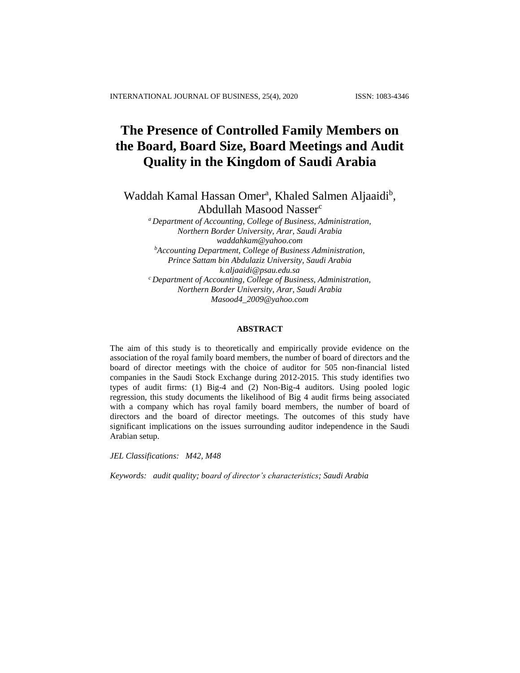# **The Presence of Controlled Family Members on the Board, Board Size, Board Meetings and Audit Quality in the Kingdom of Saudi Arabia**

Waddah Kamal Hassan Omer<sup>a</sup>, Khaled Salmen Aljaaidi<sup>b</sup>, Abdullah Masood Nasser<sup>c</sup>

*<sup>a</sup> Department of Accounting, College of Business, Administration, Northern Border University, Arar, Saudi Arabia [waddahkam@yahoo.com](mailto:waddahkam@yahoo.com) <sup>b</sup>Accounting Department, College of Business Administration, Prince Sattam bin Abdulaziz University, Saudi Arabia [k.aljaaidi@psau.edu.sa](mailto:k.aljaaidi@psau.edu.sa) <sup>c</sup> Department of Accounting, College of Business, Administration, Northern Border University, Arar, Saudi Arabia [Masood4\\_2009@yahoo.com](mailto:Masood4_2009@yahoo.com)*

## **ABSTRACT**

The aim of this study is to theoretically and empirically provide evidence on the association of the royal family board members, the number of board of directors and the board of director meetings with the choice of auditor for 505 non-financial listed companies in the Saudi Stock Exchange during 2012-2015. This study identifies two types of audit firms: (1) Big-4 and (2) Non-Big-4 auditors. Using pooled logic regression, this study documents the likelihood of Big 4 audit firms being associated with a company which has royal family board members, the number of board of directors and the board of director meetings. The outcomes of this study have significant implications on the issues surrounding auditor independence in the Saudi Arabian setup.

*JEL Classifications: M42, M48*

*Keywords: audit quality; board of director's characteristics; Saudi Arabia*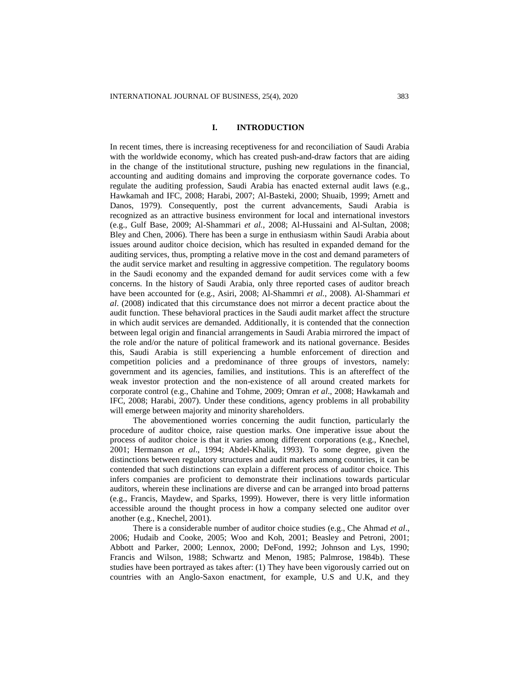## **I. INTRODUCTION**

In recent times, there is increasing receptiveness for and reconciliation of Saudi Arabia with the worldwide economy, which has created push-and-draw factors that are aiding in the change of the institutional structure, pushing new regulations in the financial, accounting and auditing domains and improving the corporate governance codes. To regulate the auditing profession, Saudi Arabia has enacted external audit laws (e.g., Hawkamah and IFC, 2008; Harabi, 2007; Al-Basteki, 2000; Shuaib, 1999; Arnett and Danos, 1979). Consequently, post the current advancements, Saudi Arabia is recognized as an attractive business environment for local and international investors (e.g., Gulf Base, 2009; Al-Shammari *et al.*, 2008; Al-Hussaini and Al-Sultan, 2008; Bley and Chen, 2006). There has been a surge in enthusiasm within Saudi Arabia about issues around auditor choice decision, which has resulted in expanded demand for the auditing services, thus, prompting a relative move in the cost and demand parameters of the audit service market and resulting in aggressive competition. The regulatory booms in the Saudi economy and the expanded demand for audit services come with a few concerns. In the history of Saudi Arabia, only three reported cases of auditor breach have been accounted for (e.g., Asiri, 2008; Al-Shammri *et al.*, 2008). Al-Shammari *et al*. (2008) indicated that this circumstance does not mirror a decent practice about the audit function. These behavioral practices in the Saudi audit market affect the structure in which audit services are demanded. Additionally, it is contended that the connection between legal origin and financial arrangements in Saudi Arabia mirrored the impact of the role and/or the nature of political framework and its national governance. Besides this, Saudi Arabia is still experiencing a humble enforcement of direction and competition policies and a predominance of three groups of investors, namely: government and its agencies, families, and institutions. This is an aftereffect of the weak investor protection and the non-existence of all around created markets for corporate control (e.g., Chahine and Tohme, 2009; Omran *et al*., 2008; Hawkamah and IFC, 2008; Harabi, 2007). Under these conditions, agency problems in all probability will emerge between majority and minority shareholders.

The abovementioned worries concerning the audit function, particularly the procedure of auditor choice, raise question marks. One imperative issue about the process of auditor choice is that it varies among different corporations (e.g., Knechel, 2001; Hermanson *et al*., 1994; Abdel-Khalik, 1993). To some degree, given the distinctions between regulatory structures and audit markets among countries, it can be contended that such distinctions can explain a different process of auditor choice. This infers companies are proficient to demonstrate their inclinations towards particular auditors, wherein these inclinations are diverse and can be arranged into broad patterns (e.g., Francis, Maydew, and Sparks, 1999). However, there is very little information accessible around the thought process in how a company selected one auditor over another (e.g., Knechel, 2001).

There is a considerable number of auditor choice studies (e.g., Che Ahmad *et al*., 2006; Hudaib and Cooke, 2005; Woo and Koh, 2001; Beasley and Petroni, 2001; Abbott and Parker, 2000; Lennox, 2000; DeFond, 1992; Johnson and Lys, 1990; Francis and Wilson, 1988; Schwartz and Menon, 1985; Palmrose, 1984b). These studies have been portrayed as takes after: (1) They have been vigorously carried out on countries with an Anglo-Saxon enactment, for example, U.S and U.K, and they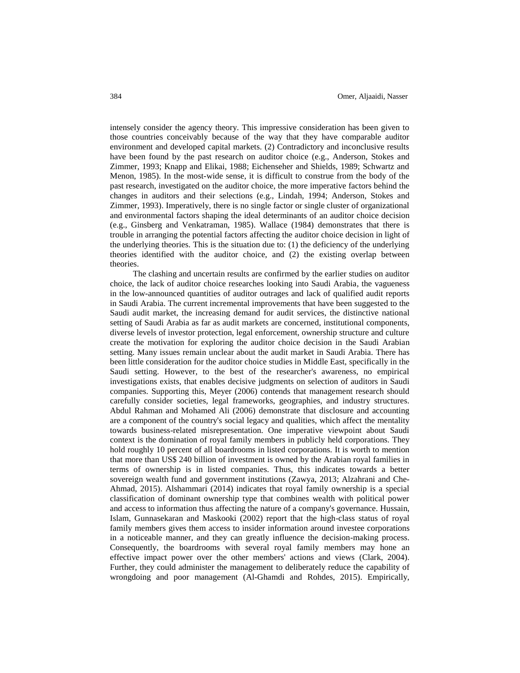intensely consider the agency theory. This impressive consideration has been given to those countries conceivably because of the way that they have comparable auditor environment and developed capital markets. (2) Contradictory and inconclusive results have been found by the past research on auditor choice (e.g., Anderson, Stokes and Zimmer, 1993; Knapp and Elikai, 1988; Eichenseher and Shields, 1989; Schwartz and Menon, 1985). In the most-wide sense, it is difficult to construe from the body of the past research, investigated on the auditor choice, the more imperative factors behind the changes in auditors and their selections (e.g., Lindah, 1994; Anderson, Stokes and Zimmer, 1993). Imperatively, there is no single factor or single cluster of organizational and environmental factors shaping the ideal determinants of an auditor choice decision (e.g., Ginsberg and Venkatraman, 1985). Wallace (1984) demonstrates that there is trouble in arranging the potential factors affecting the auditor choice decision in light of the underlying theories. This is the situation due to: (1) the deficiency of the underlying theories identified with the auditor choice, and (2) the existing overlap between theories.

The clashing and uncertain results are confirmed by the earlier studies on auditor choice, the lack of auditor choice researches looking into Saudi Arabia, the vagueness in the low-announced quantities of auditor outrages and lack of qualified audit reports in Saudi Arabia. The current incremental improvements that have been suggested to the Saudi audit market, the increasing demand for audit services, the distinctive national setting of Saudi Arabia as far as audit markets are concerned, institutional components, diverse levels of investor protection, legal enforcement, ownership structure and culture create the motivation for exploring the auditor choice decision in the Saudi Arabian setting. Many issues remain unclear about the audit market in Saudi Arabia. There has been little consideration for the auditor choice studies in Middle East, specifically in the Saudi setting. However, to the best of the researcher's awareness, no empirical investigations exists, that enables decisive judgments on selection of auditors in Saudi companies. Supporting this, Meyer (2006) contends that management research should carefully consider societies, legal frameworks, geographies, and industry structures. Abdul Rahman and Mohamed Ali (2006) demonstrate that disclosure and accounting are a component of the country's social legacy and qualities, which affect the mentality towards business-related misrepresentation. One imperative viewpoint about Saudi context is the domination of royal family members in publicly held corporations. They hold roughly 10 percent of all boardrooms in listed corporations. It is worth to mention that more than US\$ 240 billion of investment is owned by the Arabian royal families in terms of ownership is in listed companies. Thus, this indicates towards a better sovereign wealth fund and government institutions (Zawya, 2013; Alzahrani and Che-Ahmad, 2015). Alshammari (2014) indicates that royal family ownership is a special classification of dominant ownership type that combines wealth with political power and access to information thus affecting the nature of a company's governance. Hussain, Islam, Gunnasekaran and Maskooki (2002) report that the high-class status of royal family members gives them access to insider information around investee corporations in a noticeable manner, and they can greatly influence the decision-making process. Consequently, the boardrooms with several royal family members may hone an effective impact power over the other members' actions and views (Clark, 2004). Further, they could administer the management to deliberately reduce the capability of wrongdoing and poor management (Al-Ghamdi and Rohdes, 2015). Empirically,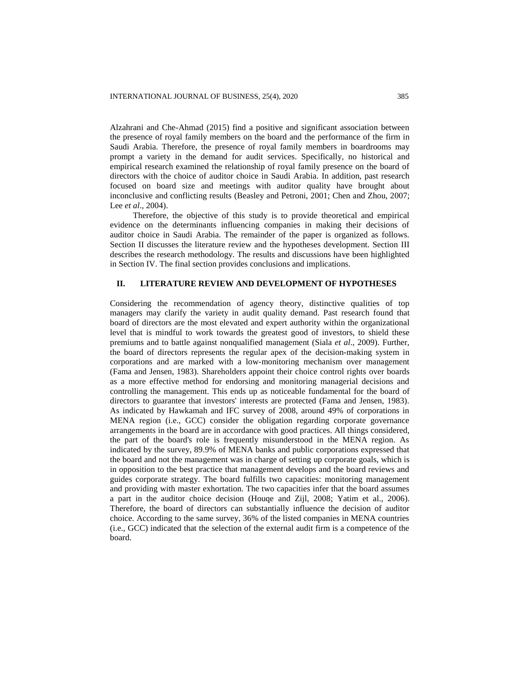Alzahrani and Che-Ahmad (2015) find a positive and significant association between the presence of royal family members on the board and the performance of the firm in Saudi Arabia. Therefore, the presence of royal family members in boardrooms may prompt a variety in the demand for audit services. Specifically, no historical and empirical research examined the relationship of royal family presence on the board of directors with the choice of auditor choice in Saudi Arabia. In addition, past research focused on board size and meetings with auditor quality have brought about inconclusive and conflicting results (Beasley and Petroni, 2001; Chen and Zhou, 2007; Lee *et al*., 2004).

Therefore, the objective of this study is to provide theoretical and empirical evidence on the determinants influencing companies in making their decisions of auditor choice in Saudi Arabia. The remainder of the paper is organized as follows. Section II discusses the literature review and the hypotheses development. Section III describes the research methodology. The results and discussions have been highlighted in Section IV. The final section provides conclusions and implications.

# **II. LITERATURE REVIEW AND DEVELOPMENT OF HYPOTHESES**

Considering the recommendation of agency theory, distinctive qualities of top managers may clarify the variety in audit quality demand. Past research found that board of directors are the most elevated and expert authority within the organizational level that is mindful to work towards the greatest good of investors, to shield these premiums and to battle against nonqualified management (Siala *et al*., 2009). Further, the board of directors represents the regular apex of the decision-making system in corporations and are marked with a low-monitoring mechanism over management (Fama and Jensen, 1983). Shareholders appoint their choice control rights over boards as a more effective method for endorsing and monitoring managerial decisions and controlling the management. This ends up as noticeable fundamental for the board of directors to guarantee that investors' interests are protected (Fama and Jensen, 1983). As indicated by Hawkamah and IFC survey of 2008, around 49% of corporations in MENA region (i.e., GCC) consider the obligation regarding corporate governance arrangements in the board are in accordance with good practices. All things considered, the part of the board's role is frequently misunderstood in the MENA region. As indicated by the survey, 89.9% of MENA banks and public corporations expressed that the board and not the management was in charge of setting up corporate goals, which is in opposition to the best practice that management develops and the board reviews and guides corporate strategy. The board fulfills two capacities: monitoring management and providing with master exhortation. The two capacities infer that the board assumes a part in the auditor choice decision (Houqe and Zijl, 2008; Yatim et al., 2006). Therefore, the board of directors can substantially influence the decision of auditor choice. According to the same survey, 36% of the listed companies in MENA countries (i.e., GCC) indicated that the selection of the external audit firm is a competence of the board.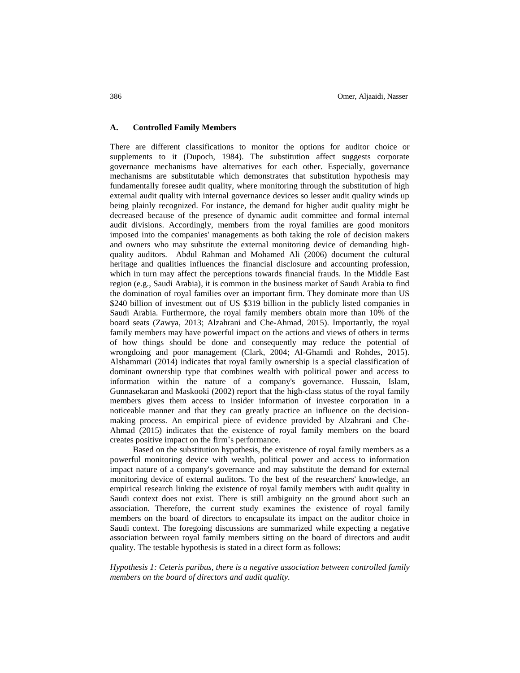# **A. Controlled Family Members**

There are different classifications to monitor the options for auditor choice or supplements to it (Dupoch, 1984). The substitution affect suggests corporate governance mechanisms have alternatives for each other. Especially, governance mechanisms are substitutable which demonstrates that substitution hypothesis may fundamentally foresee audit quality, where monitoring through the substitution of high external audit quality with internal governance devices so lesser audit quality winds up being plainly recognized. For instance, the demand for higher audit quality might be decreased because of the presence of dynamic audit committee and formal internal audit divisions. Accordingly, members from the royal families are good monitors imposed into the companies' managements as both taking the role of decision makers and owners who may substitute the external monitoring device of demanding highquality auditors. Abdul Rahman and Mohamed Ali (2006) document the cultural heritage and qualities influences the financial disclosure and accounting profession, which in turn may affect the perceptions towards financial frauds. In the Middle East region (e.g., Saudi Arabia), it is common in the business market of Saudi Arabia to find the domination of royal families over an important firm. They dominate more than US \$240 billion of investment out of US \$319 billion in the publicly listed companies in Saudi Arabia. Furthermore, the royal family members obtain more than 10% of the board seats (Zawya, 2013; Alzahrani and Che-Ahmad, 2015). Importantly, the royal family members may have powerful impact on the actions and views of others in terms of how things should be done and consequently may reduce the potential of wrongdoing and poor management (Clark, 2004; Al-Ghamdi and Rohdes, 2015). Alshammari (2014) indicates that royal family ownership is a special classification of dominant ownership type that combines wealth with political power and access to information within the nature of a company's governance. Hussain, Islam, Gunnasekaran and Maskooki (2002) report that the high-class status of the royal family members gives them access to insider information of investee corporation in a noticeable manner and that they can greatly practice an influence on the decisionmaking process. An empirical piece of evidence provided by Alzahrani and Che-Ahmad (2015) indicates that the existence of royal family members on the board creates positive impact on the firm's performance.

Based on the substitution hypothesis, the existence of royal family members as a powerful monitoring device with wealth, political power and access to information impact nature of a company's governance and may substitute the demand for external monitoring device of external auditors. To the best of the researchers' knowledge, an empirical research linking the existence of royal family members with audit quality in Saudi context does not exist. There is still ambiguity on the ground about such an association. Therefore, the current study examines the existence of royal family members on the board of directors to encapsulate its impact on the auditor choice in Saudi context. The foregoing discussions are summarized while expecting a negative association between royal family members sitting on the board of directors and audit quality. The testable hypothesis is stated in a direct form as follows:

*Hypothesis 1: Ceteris paribus, there is a negative association between controlled family members on the board of directors and audit quality.*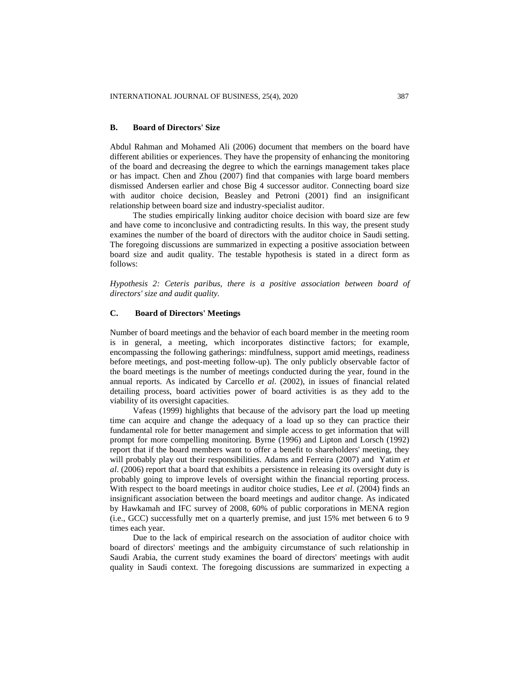## **B. Board of Directors' Size**

Abdul Rahman and Mohamed Ali (2006) document that members on the board have different abilities or experiences. They have the propensity of enhancing the monitoring of the board and decreasing the degree to which the earnings management takes place or has impact. Chen and Zhou (2007) find that companies with large board members dismissed Andersen earlier and chose Big 4 successor auditor. Connecting board size with auditor choice decision, Beasley and Petroni (2001) find an insignificant relationship between board size and industry-specialist auditor.

The studies empirically linking auditor choice decision with board size are few and have come to inconclusive and contradicting results. In this way, the present study examines the number of the board of directors with the auditor choice in Saudi setting. The foregoing discussions are summarized in expecting a positive association between board size and audit quality. The testable hypothesis is stated in a direct form as follows:

*Hypothesis 2: Ceteris paribus, there is a positive association between board of directors' size and audit quality.*

# **C. Board of Directors' Meetings**

Number of board meetings and the behavior of each board member in the meeting room is in general, a meeting, which incorporates distinctive factors; for example, encompassing the following gatherings: mindfulness, support amid meetings, readiness before meetings, and post-meeting follow-up). The only publicly observable factor of the board meetings is the number of meetings conducted during the year, found in the annual reports. As indicated by Carcello *et al*. (2002), in issues of financial related detailing process, board activities power of board activities is as they add to the viability of its oversight capacities.

Vafeas (1999) highlights that because of the advisory part the load up meeting time can acquire and change the adequacy of a load up so they can practice their fundamental role for better management and simple access to get information that will prompt for more compelling monitoring. Byrne (1996) and Lipton and Lorsch (1992) report that if the board members want to offer a benefit to shareholders' meeting, they will probably play out their responsibilities. Adams and Ferreira (2007) and Yatim *et al*. (2006) report that a board that exhibits a persistence in releasing its oversight duty is probably going to improve levels of oversight within the financial reporting process. With respect to the board meetings in auditor choice studies, Lee *et al*. (2004) finds an insignificant association between the board meetings and auditor change. As indicated by Hawkamah and IFC survey of 2008, 60% of public corporations in MENA region (i.e., GCC) successfully met on a quarterly premise, and just 15% met between 6 to 9 times each year.

Due to the lack of empirical research on the association of auditor choice with board of directors' meetings and the ambiguity circumstance of such relationship in Saudi Arabia, the current study examines the board of directors' meetings with audit quality in Saudi context. The foregoing discussions are summarized in expecting a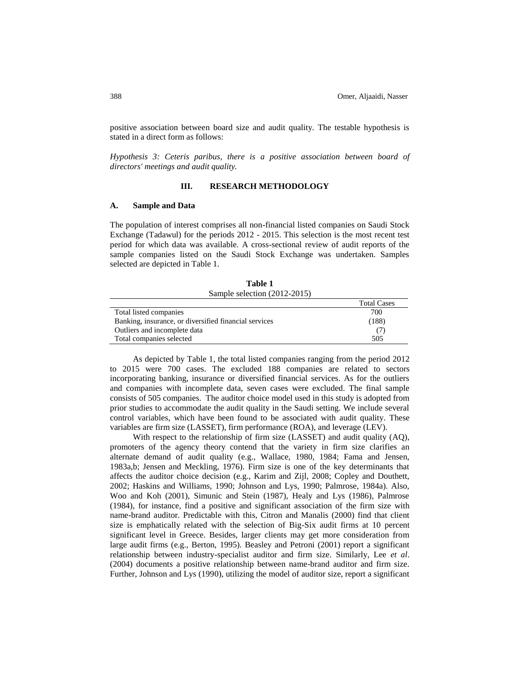positive association between board size and audit quality. The testable hypothesis is stated in a direct form as follows:

*Hypothesis 3: Ceteris paribus, there is a positive association between board of directors' meetings and audit quality.*

# **III. RESEARCH METHODOLOGY**

#### **A. Sample and Data**

The population of interest comprises all non-financial listed companies on Saudi Stock Exchange (Tadawul) for the periods 2012 - 2015. This selection is the most recent test period for which data was available. A cross-sectional review of audit reports of the sample companies listed on the Saudi Stock Exchange was undertaken. Samples selected are depicted in Table 1.

| Table 1                      |  |  |  |  |
|------------------------------|--|--|--|--|
| Sample selection (2012-2015) |  |  |  |  |

|                                                       | <b>Total Cases</b> |
|-------------------------------------------------------|--------------------|
| Total listed companies                                | 700                |
| Banking, insurance, or diversified financial services | (188)              |
| Outliers and incomplete data                          |                    |
| Total companies selected                              | 505                |

As depicted by Table 1, the total listed companies ranging from the period 2012 to 2015 were 700 cases. The excluded 188 companies are related to sectors incorporating banking, insurance or diversified financial services. As for the outliers and companies with incomplete data, seven cases were excluded. The final sample consists of 505 companies. The auditor choice model used in this study is adopted from prior studies to accommodate the audit quality in the Saudi setting. We include several control variables, which have been found to be associated with audit quality. These variables are firm size (LASSET), firm performance (ROA), and leverage (LEV).

With respect to the relationship of firm size (LASSET) and audit quality (AQ), promoters of the agency theory contend that the variety in firm size clarifies an alternate demand of audit quality (e.g., Wallace, 1980, 1984; Fama and Jensen, 1983a,b; Jensen and Meckling, 1976). Firm size is one of the key determinants that affects the auditor choice decision (e.g., Karim and Zijl, 2008; Copley and Douthett, 2002; Haskins and Williams, 1990; Johnson and Lys, 1990; Palmrose, 1984a). Also, Woo and Koh (2001), Simunic and Stein (1987), Healy and Lys (1986), Palmrose (1984), for instance, find a positive and significant association of the firm size with name-brand auditor. Predictable with this, Citron and Manalis (2000) find that client size is emphatically related with the selection of Big-Six audit firms at 10 percent significant level in Greece. Besides, larger clients may get more consideration from large audit firms (e.g., Berton, 1995). Beasley and Petroni (2001) report a significant relationship between industry-specialist auditor and firm size. Similarly, Lee *et al*. (2004) documents a positive relationship between name-brand auditor and firm size. Further, Johnson and Lys (1990), utilizing the model of auditor size, report a significant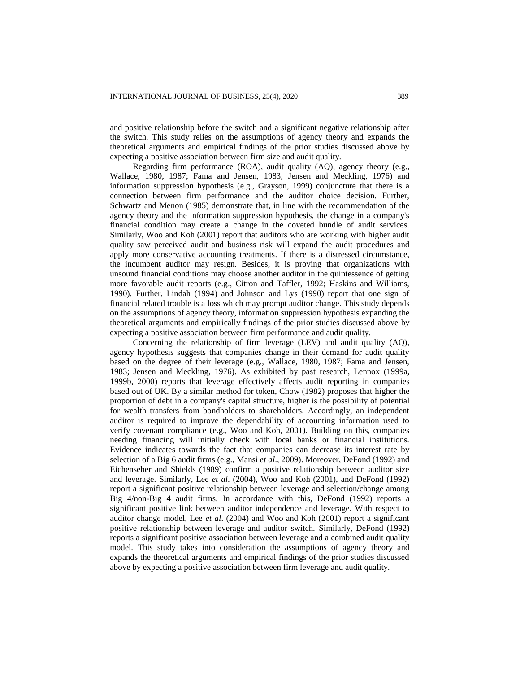and positive relationship before the switch and a significant negative relationship after the switch. This study relies on the assumptions of agency theory and expands the theoretical arguments and empirical findings of the prior studies discussed above by expecting a positive association between firm size and audit quality.

Regarding firm performance (ROA), audit quality (AQ), agency theory (e.g., Wallace, 1980, 1987; Fama and Jensen, 1983; Jensen and Meckling, 1976) and information suppression hypothesis (e.g., Grayson, 1999) conjuncture that there is a connection between firm performance and the auditor choice decision. Further, Schwartz and Menon (1985) demonstrate that, in line with the recommendation of the agency theory and the information suppression hypothesis, the change in a company's financial condition may create a change in the coveted bundle of audit services. Similarly, Woo and Koh (2001) report that auditors who are working with higher audit quality saw perceived audit and business risk will expand the audit procedures and apply more conservative accounting treatments. If there is a distressed circumstance, the incumbent auditor may resign. Besides, it is proving that organizations with unsound financial conditions may choose another auditor in the quintessence of getting more favorable audit reports (e.g., Citron and Taffler, 1992; Haskins and Williams, 1990). Further, Lindah (1994) and Johnson and Lys (1990) report that one sign of financial related trouble is a loss which may prompt auditor change. This study depends on the assumptions of agency theory, information suppression hypothesis expanding the theoretical arguments and empirically findings of the prior studies discussed above by expecting a positive association between firm performance and audit quality.

Concerning the relationship of firm leverage (LEV) and audit quality (AQ), agency hypothesis suggests that companies change in their demand for audit quality based on the degree of their leverage (e.g., Wallace, 1980, 1987; Fama and Jensen, 1983; Jensen and Meckling, 1976). As exhibited by past research, Lennox (1999a, 1999b, 2000) reports that leverage effectively affects audit reporting in companies based out of UK. By a similar method for token, Chow (1982) proposes that higher the proportion of debt in a company's capital structure, higher is the possibility of potential for wealth transfers from bondholders to shareholders. Accordingly, an independent auditor is required to improve the dependability of accounting information used to verify covenant compliance (e.g., Woo and Koh, 2001). Building on this, companies needing financing will initially check with local banks or financial institutions. Evidence indicates towards the fact that companies can decrease its interest rate by selection of a Big 6 audit firms (e.g., Mansi *et al*., 2009). Moreover, DeFond (1992) and Eichenseher and Shields (1989) confirm a positive relationship between auditor size and leverage. Similarly, Lee *et al*. (2004), Woo and Koh (2001), and DeFond (1992) report a significant positive relationship between leverage and selection/change among Big 4/non-Big 4 audit firms. In accordance with this, DeFond (1992) reports a significant positive link between auditor independence and leverage. With respect to auditor change model, Lee *et al*. (2004) and Woo and Koh (2001) report a significant positive relationship between leverage and auditor switch. Similarly, DeFond (1992) reports a significant positive association between leverage and a combined audit quality model. This study takes into consideration the assumptions of agency theory and expands the theoretical arguments and empirical findings of the prior studies discussed above by expecting a positive association between firm leverage and audit quality.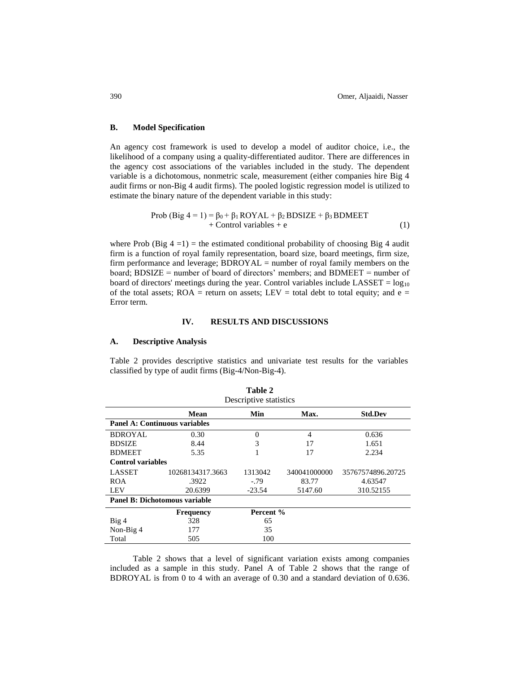## **B. Model Specification**

An agency cost framework is used to develop a model of auditor choice, i.e., the likelihood of a company using a quality-differentiated auditor. There are differences in the agency cost associations of the variables included in the study. The dependent variable is a dichotomous, nonmetric scale, measurement (either companies hire Big 4 audit firms or non-Big 4 audit firms). The pooled logistic regression model is utilized to estimate the binary nature of the dependent variable in this study:

Prob (Big 4 = 1) = 
$$
β_0 + β_1 ROYAL + β_2 BDSIZE + β_3 BDMEET
$$
  
+ Control variables + e (1)

where Prob  $(Big 4=1)$  = the estimated conditional probability of choosing Big 4 audit firm is a function of royal family representation, board size, board meetings, firm size, firm performance and leverage; BDROYAL = number of royal family members on the board; BDSIZE = number of board of directors' members; and BDMEET = number of board of directors' meetings during the year. Control variables include LASSET =  $log_{10}$ of the total assets; ROA = return on assets; LEV = total debt to total equity; and  $e =$ Error term.

# **IV. RESULTS AND DISCUSSIONS**

### **A. Descriptive Analysis**

Table 2 provides descriptive statistics and univariate test results for the variables classified by type of audit firms (Big-4/Non-Big-4).

| Descriptive statistics               |                                      |           |              |                   |  |  |
|--------------------------------------|--------------------------------------|-----------|--------------|-------------------|--|--|
|                                      | Mean                                 | Min       | Max.         | <b>Std.Dev</b>    |  |  |
|                                      | <b>Panel A: Continuous variables</b> |           |              |                   |  |  |
| <b>BDROYAL</b>                       | 0.30                                 | 0         | 4            | 0.636             |  |  |
| <b>BDSIZE</b>                        | 8.44                                 | 3         | 17           | 1.651             |  |  |
| <b>BDMEET</b>                        | 5.35                                 |           | 17           | 2.234             |  |  |
| <b>Control variables</b>             |                                      |           |              |                   |  |  |
| <b>LASSET</b>                        | 10268134317.3663                     | 1313042   | 340041000000 | 35767574896.20725 |  |  |
| <b>ROA</b>                           | .3922                                | $-0.79$   | 83.77        | 4.63547           |  |  |
| LEV                                  | 20.6399                              | $-23.54$  | 5147.60      | 310.52155         |  |  |
| <b>Panel B: Dichotomous variable</b> |                                      |           |              |                   |  |  |
|                                      | <b>Frequency</b>                     | Percent % |              |                   |  |  |
| Big4                                 | 328                                  | 65        |              |                   |  |  |
| Non-Big 4                            | 177                                  | 35        |              |                   |  |  |
| Total                                | 505                                  | 100       |              |                   |  |  |

| Table 2                |  |  |  |
|------------------------|--|--|--|
| Descriptive statistics |  |  |  |

Table 2 shows that a level of significant variation exists among companies included as a sample in this study. Panel A of Table 2 shows that the range of BDROYAL is from 0 to 4 with an average of 0.30 and a standard deviation of 0.636.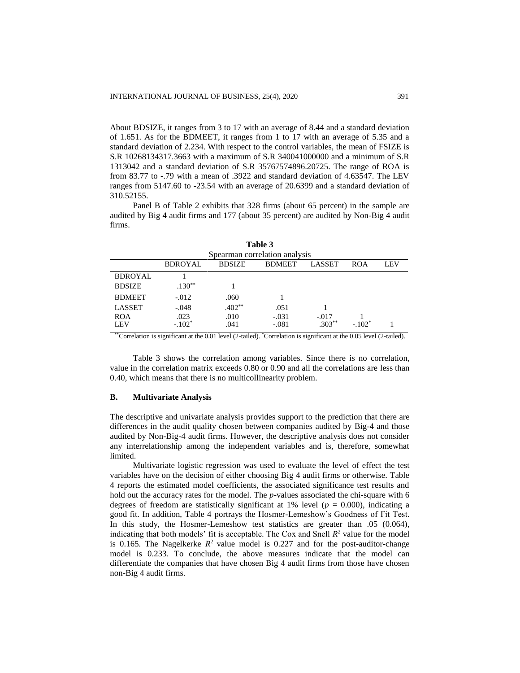About BDSIZE, it ranges from 3 to 17 with an average of 8.44 and a standard deviation of 1.651. As for the BDMEET, it ranges from 1 to 17 with an average of 5.35 and a standard deviation of 2.234. With respect to the control variables, the mean of FSIZE is S.R 10268134317.3663 with a maximum of S.R 340041000000 and a minimum of S.R 1313042 and a standard deviation of S.R 35767574896.20725. The range of ROA is from 83.77 to -.79 with a mean of .3922 and standard deviation of 4.63547. The LEV ranges from 5147.60 to -23.54 with an average of 20.6399 and a standard deviation of 310.52155.

Panel B of Table 2 exhibits that 328 firms (about 65 percent) in the sample are audited by Big 4 audit firms and 177 (about 35 percent) are audited by Non-Big 4 audit firms.

| Table 3                       |                  |               |                    |                      |            |     |
|-------------------------------|------------------|---------------|--------------------|----------------------|------------|-----|
| Spearman correlation analysis |                  |               |                    |                      |            |     |
|                               | <b>BDROYAL</b>   | <b>BDSIZE</b> | <b>BDMEET</b>      | <b>LASSET</b>        | <b>ROA</b> | LEV |
| <b>BDROYAL</b>                |                  |               |                    |                      |            |     |
| <b>BDSIZE</b>                 | $.130**$         |               |                    |                      |            |     |
| <b>BDMEET</b>                 | $-0.012$         | .060          |                    |                      |            |     |
| <b>LASSET</b>                 | $-.048$          | $.402**$      | .051               |                      |            |     |
| <b>ROA</b><br><b>LEV</b>      | .023<br>$-.102*$ | .010<br>.041  | $-.031$<br>$-.081$ | $-.017$<br>$.303***$ | $-.102*$   |     |

\*\*Correlation is significant at the 0.01 level (2-tailed). \*Correlation is significant at the 0.05 level (2-tailed).

Table 3 shows the correlation among variables. Since there is no correlation, value in the correlation matrix exceeds 0.80 or 0.90 and all the correlations are less than 0.40, which means that there is no multicollinearity problem.

# **B. Multivariate Analysis**

The descriptive and univariate analysis provides support to the prediction that there are differences in the audit quality chosen between companies audited by Big-4 and those audited by Non-Big-4 audit firms. However, the descriptive analysis does not consider any interrelationship among the independent variables and is, therefore, somewhat limited.

Multivariate logistic regression was used to evaluate the level of effect the test variables have on the decision of either choosing Big 4 audit firms or otherwise. Table 4 reports the estimated model coefficients, the associated significance test results and hold out the accuracy rates for the model. The *p*-values associated the chi-square with 6 degrees of freedom are statistically significant at 1% level ( $p = 0.000$ ), indicating a good fit. In addition, Table 4 portrays the Hosmer-Lemeshow's Goodness of Fit Test. In this study, the Hosmer-Lemeshow test statistics are greater than .05 (0.064), indicating that both models' fit is acceptable. The Cox and Snell  $R^2$  value for the model is 0.165. The Nagelkerke  $R^2$  value model is 0.227 and for the post-auditor-change model is 0.233. To conclude, the above measures indicate that the model can differentiate the companies that have chosen Big 4 audit firms from those have chosen non-Big 4 audit firms.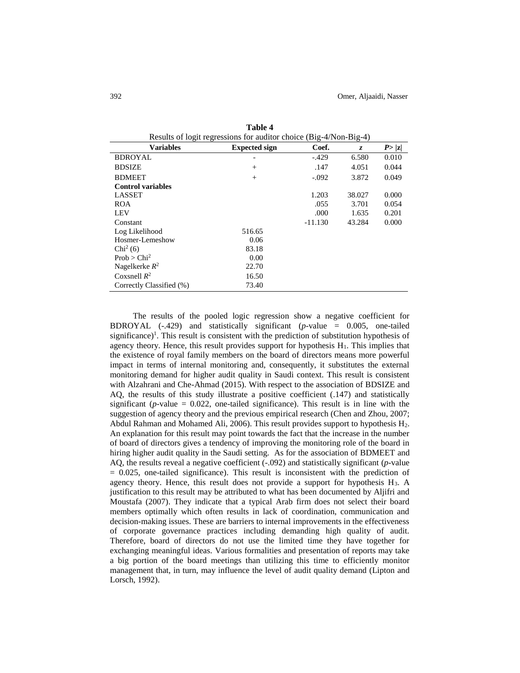| Results of logit regressions for auditor choice (Big-4/Non-Big-4) |                      |           |        |        |
|-------------------------------------------------------------------|----------------------|-----------|--------|--------|
| <b>Variables</b>                                                  | <b>Expected sign</b> | Coef.     | Z.     | P >  z |
| <b>BDROYAL</b>                                                    |                      | $-.429$   | 6.580  | 0.010  |
| <b>BDSIZE</b>                                                     | $^{+}$               | .147      | 4.051  | 0.044  |
| <b>BDMEET</b>                                                     | $^{+}$               | $-.092$   | 3.872  | 0.049  |
| <b>Control variables</b>                                          |                      |           |        |        |
| <b>LASSET</b>                                                     |                      | 1.203     | 38.027 | 0.000  |
| <b>ROA</b>                                                        |                      | .055      | 3.701  | 0.054  |
| LEV                                                               |                      | .000      | 1.635  | 0.201  |
| Constant                                                          |                      | $-11.130$ | 43.284 | 0.000  |
| Log Likelihood                                                    | 516.65               |           |        |        |
| Hosmer-Lemeshow                                                   | 0.06                 |           |        |        |
| Chi <sup>2</sup> (6)                                              | 83.18                |           |        |        |
| Prob > Chi <sup>2</sup>                                           | 0.00                 |           |        |        |
| Nagelkerke $R^2$                                                  | 22.70                |           |        |        |
| Coxsnell $R^2$                                                    | 16.50                |           |        |        |
| Correctly Classified (%)                                          | 73.40                |           |        |        |

**Table 4**

The results of the pooled logic regression show a negative coefficient for BDROYAL (-.429) and statistically significant (*p*-value = 0.005, one-tailed significance)<sup>1</sup>. This result is consistent with the prediction of substitution hypothesis of agency theory. Hence, this result provides support for hypothesis  $H_1$ . This implies that the existence of royal family members on the board of directors means more powerful impact in terms of internal monitoring and, consequently, it substitutes the external monitoring demand for higher audit quality in Saudi context. This result is consistent with Alzahrani and Che-Ahmad (2015). With respect to the association of BDSIZE and AQ, the results of this study illustrate a positive coefficient (.147) and statistically significant ( $p$ -value = 0.022, one-tailed significance). This result is in line with the suggestion of agency theory and the previous empirical research (Chen and Zhou, 2007; Abdul Rahman and Mohamed Ali, 2006). This result provides support to hypothesis H2. An explanation for this result may point towards the fact that the increase in the number of board of directors gives a tendency of improving the monitoring role of the board in hiring higher audit quality in the Saudi setting. As for the association of BDMEET and AQ, the results reveal a negative coefficient (-.092) and statistically significant (*p*-value = 0.025, one-tailed significance). This result is inconsistent with the prediction of agency theory. Hence, this result does not provide a support for hypothesis  $H_3$ . A justification to this result may be attributed to what has been documented by Aljifri and Moustafa (2007). They indicate that a typical Arab firm does not select their board members optimally which often results in lack of coordination, communication and decision-making issues. These are barriers to internal improvements in the effectiveness of corporate governance practices including demanding high quality of audit. Therefore, board of directors do not use the limited time they have together for exchanging meaningful ideas. Various formalities and presentation of reports may take a big portion of the board meetings than utilizing this time to efficiently monitor management that, in turn, may influence the level of audit quality demand (Lipton and Lorsch, 1992).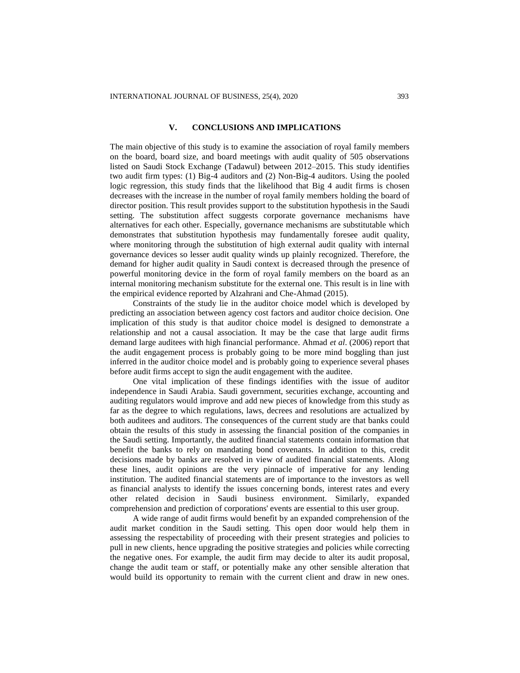## **V. CONCLUSIONS AND IMPLICATIONS**

The main objective of this study is to examine the association of royal family members on the board, board size, and board meetings with audit quality of 505 observations listed on Saudi Stock Exchange (Tadawul) between 2012–2015. This study identifies two audit firm types: (1) Big-4 auditors and (2) Non-Big-4 auditors. Using the pooled logic regression, this study finds that the likelihood that Big 4 audit firms is chosen decreases with the increase in the number of royal family members holding the board of director position. This result provides support to the substitution hypothesis in the Saudi setting. The substitution affect suggests corporate governance mechanisms have alternatives for each other. Especially, governance mechanisms are substitutable which demonstrates that substitution hypothesis may fundamentally foresee audit quality, where monitoring through the substitution of high external audit quality with internal governance devices so lesser audit quality winds up plainly recognized. Therefore, the demand for higher audit quality in Saudi context is decreased through the presence of powerful monitoring device in the form of royal family members on the board as an internal monitoring mechanism substitute for the external one. This result is in line with the empirical evidence reported by Alzahrani and Che-Ahmad (2015).

Constraints of the study lie in the auditor choice model which is developed by predicting an association between agency cost factors and auditor choice decision. One implication of this study is that auditor choice model is designed to demonstrate a relationship and not a causal association. It may be the case that large audit firms demand large auditees with high financial performance. Ahmad *et al*. (2006) report that the audit engagement process is probably going to be more mind boggling than just inferred in the auditor choice model and is probably going to experience several phases before audit firms accept to sign the audit engagement with the auditee.

One vital implication of these findings identifies with the issue of auditor independence in Saudi Arabia. Saudi government, securities exchange, accounting and auditing regulators would improve and add new pieces of knowledge from this study as far as the degree to which regulations, laws, decrees and resolutions are actualized by both auditees and auditors. The consequences of the current study are that banks could obtain the results of this study in assessing the financial position of the companies in the Saudi setting. Importantly, the audited financial statements contain information that benefit the banks to rely on mandating bond covenants. In addition to this, credit decisions made by banks are resolved in view of audited financial statements. Along these lines, audit opinions are the very pinnacle of imperative for any lending institution. The audited financial statements are of importance to the investors as well as financial analysts to identify the issues concerning bonds, interest rates and every other related decision in Saudi business environment. Similarly, expanded comprehension and prediction of corporations' events are essential to this user group.

A wide range of audit firms would benefit by an expanded comprehension of the audit market condition in the Saudi setting. This open door would help them in assessing the respectability of proceeding with their present strategies and policies to pull in new clients, hence upgrading the positive strategies and policies while correcting the negative ones. For example, the audit firm may decide to alter its audit proposal, change the audit team or staff, or potentially make any other sensible alteration that would build its opportunity to remain with the current client and draw in new ones.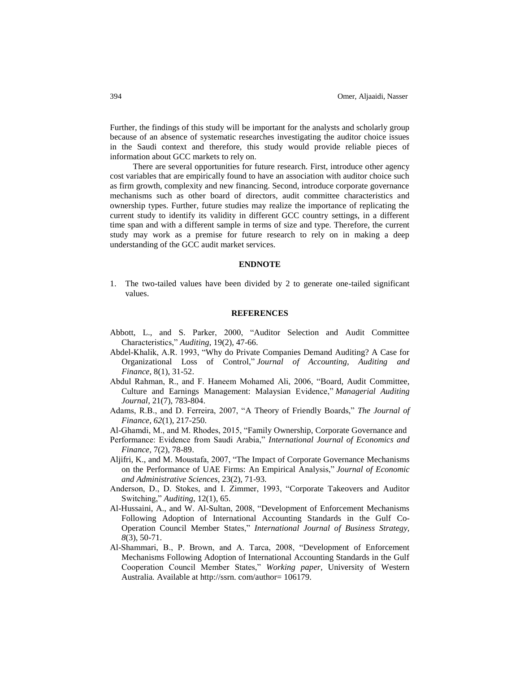Further, the findings of this study will be important for the analysts and scholarly group because of an absence of systematic researches investigating the auditor choice issues in the Saudi context and therefore, this study would provide reliable pieces of information about GCC markets to rely on.

There are several opportunities for future research. First, introduce other agency cost variables that are empirically found to have an association with auditor choice such as firm growth, complexity and new financing. Second, introduce corporate governance mechanisms such as other board of directors, audit committee characteristics and ownership types. Further, future studies may realize the importance of replicating the current study to identify its validity in different GCC country settings, in a different time span and with a different sample in terms of size and type. Therefore, the current study may work as a premise for future research to rely on in making a deep understanding of the GCC audit market services.

#### **ENDNOTE**

1. The two-tailed values have been divided by 2 to generate one-tailed significant values.

# **REFERENCES**

- Abbott, L., and S. Parker, 2000, "Auditor Selection and Audit Committee Characteristics," *Auditing*, 19(2), 47-66.
- Abdel-Khalik, A.R. 1993, "Why do Private Companies Demand Auditing? A Case for Organizational Loss of Control," *Journal of Accounting, Auditing and Finance*, 8(1), 31-52.
- Abdul Rahman, R., and F. Haneem Mohamed Ali, 2006, "Board, Audit Committee, Culture and Earnings Management: Malaysian Evidence," *Managerial Auditing Journal*, 21(7), 783-804.
- Adams, R.B., and D. Ferreira, 2007, "A Theory of Friendly Boards," *The Journal of Finance, 62*(1), 217-250.
- Al-Ghamdi, M., and M. Rhodes, 2015, "Family Ownership, Corporate Governance and
- Performance: Evidence from Saudi Arabia," *International Journal of Economics and Finance,* 7(2), 78-89.
- Aljifri, K., and M. Moustafa, 2007, "The Impact of Corporate Governance Mechanisms on the Performance of UAE Firms: An Empirical Analysis," *Journal of Economic and Administrative Sciences*, 23(2), 71-93.
- Anderson, D., D. Stokes, and I. Zimmer, 1993, "Corporate Takeovers and Auditor Switching," *Auditing,* 12(1), 65.
- Al-Hussaini, A., and W. Al-Sultan, 2008, "Development of Enforcement Mechanisms Following Adoption of International Accounting Standards in the Gulf Co-Operation Council Member States," *International Journal of Business Strategy, 8*(3), 50-71.
- Al-Shammari, B., P. Brown, and A. Tarca, 2008, "Development of Enforcement Mechanisms Following Adoption of International Accounting Standards in the Gulf Cooperation Council Member States," *Working paper,* University of Western Australia. Available at http://ssrn.com/author= 106179.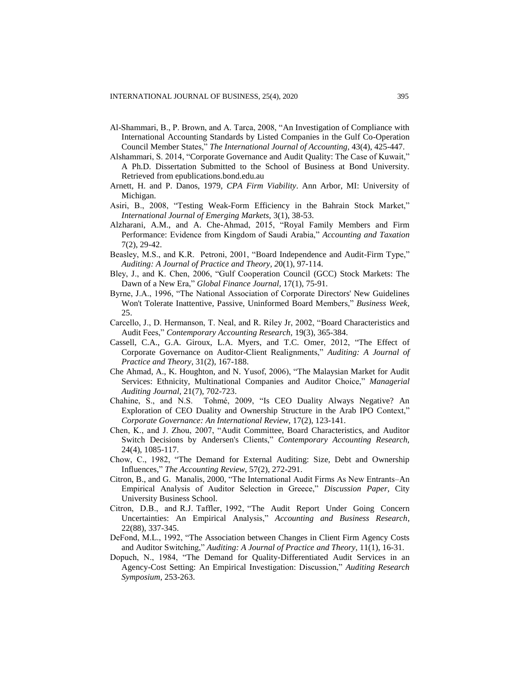- Al-Shammari, B., P. Brown, and A. Tarca, 2008, "An Investigation of Compliance with International Accounting Standards by Listed Companies in the Gulf Co-Operation Council Member States," *The International Journal of Accounting,* 43(4), 425-447.
- Alshammari, S. 2014, "Corporate Governance and Audit Quality: The Case of Kuwait," A Ph.D. Dissertation Submitted to the School of Business at Bond University. Retrieved from epublications.bond.edu.au
- Arnett, H. and P. Danos, 1979, *CPA Firm Viability*. Ann Arbor, MI: University of Michigan.
- Asiri, B., 2008, "Testing Weak-Form Efficiency in the Bahrain Stock Market," *International Journal of Emerging Markets,* 3(1), 38-53.
- Alzharani, A.M., and A. Che-Ahmad, 2015, "Royal Family Members and Firm Performance: Evidence from Kingdom of Saudi Arabia," *Accounting and Taxation*  7(2), 29-42.
- Beasley, M.S., and K.R. Petroni, 2001, "Board Independence and Audit-Firm Type," *Auditing: A Journal of Practice and Theory, 2*0(1), 97-114.
- Bley, J., and K. Chen, 2006, "Gulf Cooperation Council (GCC) Stock Markets: The Dawn of a New Era," *Global Finance Journal,* 17(1), 75-91.
- Byrne, J.A., 1996, "The National Association of Corporate Directors' New Guidelines Won't Tolerate Inattentive, Passive, Uninformed Board Members," *Business Week*, 25.
- Carcello, J., D. Hermanson, T. Neal, and R. Riley Jr, 2002, "Board Characteristics and Audit Fees," *Contemporary Accounting Research,* 19(3), 365-384.
- Cassell, C.A., G.A. Giroux, L.A. Myers, and T.C. Omer, 2012, "The Effect of Corporate Governance on Auditor-Client Realignments," *Auditing: A Journal of Practice and Theory,* 31(2), 167-188.
- Che Ahmad, A., K. Houghton, and N. Yusof, 2006), "The Malaysian Market for Audit Services: Ethnicity, Multinational Companies and Auditor Choice," *Managerial Auditing Journal,* 21(7), 702-723.
- Chahine, S., and N.S. Tohmé, 2009, "Is CEO Duality Always Negative? An Exploration of CEO Duality and Ownership Structure in the Arab IPO Context," *Corporate Governance: An International Review,* 17(2), 123-141.
- Chen, K., and J. Zhou, 2007, "Audit Committee, Board Characteristics, and Auditor Switch Decisions by Andersen's Clients," *Contemporary Accounting Research,*  24(4), 1085-117.
- Chow, C., 1982, "The Demand for External Auditing: Size, Debt and Ownership Influences," *The Accounting Review,* 57(2), 272-291.
- Citron, B., and G. Manalis, 2000, "The International Audit Firms As New Entrants–An Empirical Analysis of Auditor Selection in Greece," *Discussion Paper,* City University Business School.
- Citron, D.B., and R.J. Taffler, 1992, "The Audit Report Under Going Concern Uncertainties: An Empirical Analysis," *Accounting and Business Research*, 22(88), 337-345.
- DeFond, M.L., 1992, "The Association between Changes in Client Firm Agency Costs and Auditor Switching," *Auditing: A Journal of Practice and Theory,* 11(1), 16-31.
- Dopuch, N., 1984, "The Demand for Quality-Differentiated Audit Services in an Agency-Cost Setting: An Empirical Investigation: Discussion," *Auditing Research Symposium*, 253-263.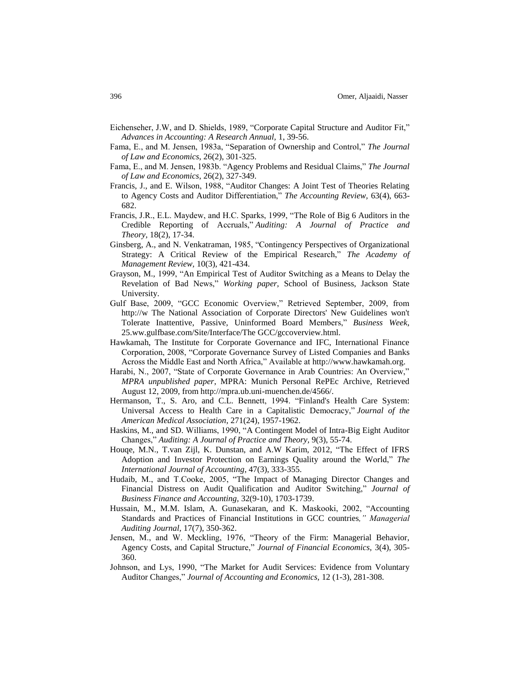- Eichenseher, J.W, and D. Shields, 1989, "Corporate Capital Structure and Auditor Fit," *Advances in Accounting: A Research Annual,* 1, 39-56.
- Fama, E., and M. Jensen, 1983a, "Separation of Ownership and Control," *The Journal of Law and Economics*, 26(2), 301-325.
- Fama, E., and M. Jensen, 1983b. "Agency Problems and Residual Claims," *The Journal of Law and Economics*, 26(2), 327-349.
- Francis, J., and E. Wilson, 1988, "Auditor Changes: A Joint Test of Theories Relating to Agency Costs and Auditor Differentiation," *The Accounting Review,* 63(4), 663- 682.
- Francis, J.R., E.L. Maydew, and H.C. Sparks, 1999, "The Role of Big 6 Auditors in the Credible Reporting of Accruals," *Auditing: A Journal of Practice and Theory,* 18(2), 17-34.
- Ginsberg, A., and N. Venkatraman, 1985, "Contingency Perspectives of Organizational Strategy: A Critical Review of the Empirical Research," *The Academy of Management Review,* 10(3), 421-434.
- Grayson, M., 1999, "An Empirical Test of Auditor Switching as a Means to Delay the Revelation of Bad News," *Working paper,* School of Business, Jackson State University.
- Gulf Base, 2009, "GCC Economic Overview," Retrieved September, 2009, from http://w The National Association of Corporate Directors' New Guidelines won't Tolerate Inattentive, Passive, Uninformed Board Members," *Business Week*, 25.ww.gulfbase.com/Site/Interface/The GCC/gccoverview.html.
- Hawkamah, The Institute for Corporate Governance and IFC, International Finance Corporation, 2008, "Corporate Governance Survey of Listed Companies and Banks Across the Middle East and North Africa," Available at [http://www.hawkamah.org.](http://www.hawkamah.org/)
- Harabi, N., 2007, "State of Corporate Governance in Arab Countries: An Overview," *MPRA unpublished paper*, MPRA: Munich Personal RePEc Archive, Retrieved August 12, 2009, from http://mpra.ub.uni-muenchen.de/4566/.
- Hermanson, T., S. Aro, and C.L. Bennett, 1994. "Finland's Health Care System: Universal Access to Health Care in a Capitalistic Democracy," *Journal of the American Medical Association*, 271(24), 1957-1962.
- Haskins, M., and SD. Williams, 1990, "A Contingent Model of Intra-Big Eight Auditor Changes," *Auditing: A Journal of Practice and Theory,* 9(3), 55-74.
- Houqe, M.N., T.van Zijl, K. Dunstan, and A.W Karim, 2012, "The Effect of IFRS Adoption and Investor Protection on Earnings Quality around the World," *The International Journal of Accounting*, 47(3), 333-355.
- Hudaib, M., and T.Cooke, 2005, "The Impact of Managing Director Changes and Financial Distress on Audit Qualification and Auditor Switching," *Journal of Business Finance and Accounting,* 32(9-10), 1703-1739.
- Hussain, M., M.M. Islam, A. Gunasekaran, and K. Maskooki, 2002, "Accounting Standards and Practices of Financial Institutions in GCC countries*," Managerial Auditing Journal,* 17(7), 350-362.
- Jensen, M., and W. Meckling, 1976, "Theory of the Firm: Managerial Behavior, Agency Costs, and Capital Structure," *Journal of Financial Economics,* 3(4), 305- 360.
- Johnson, and Lys, 1990, "The Market for Audit Services: Evidence from Voluntary Auditor Changes," *Journal of Accounting and Economics,* 12 (1-3), 281-308.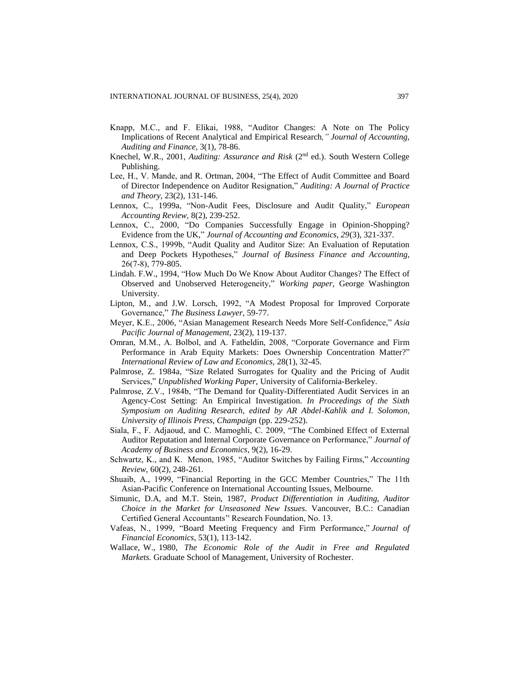- Knapp, M.C., and F. Elikai, 1988, "Auditor Changes: A Note on The Policy Implications of Recent Analytical and Empirical Research*," Journal of Accounting, Auditing and Finance,* 3(1), 78-86.
- Knechel, W.R., 2001, *Auditing: Assurance and Risk* (2nd ed.). South Western College Publishing.
- Lee, H., V. Mande, and R. Ortman, 2004, "The Effect of Audit Committee and Board of Director Independence on Auditor Resignation," *Auditing: A Journal of Practice and Theory,* 23(2), 131-146.
- Lennox, C., 1999a, "Non-Audit Fees, Disclosure and Audit Quality," *European Accounting Review,* 8(2), 239-252.
- Lennox, C., 2000, "Do Companies Successfully Engage in Opinion-Shopping? Evidence from the UK," *Journal of Accounting and Economics, 29*(3), 321-337.
- Lennox, C.S., 1999b, "Audit Quality and Auditor Size: An Evaluation of Reputation and Deep Pockets Hypotheses," *Journal of Business Finance and Accounting,*  26(7‐8), 779-805.
- Lindah. F.W., 1994, "How Much Do We Know About Auditor Changes? The Effect of Observed and Unobserved Heterogeneity," *Working paper,* George Washington University.
- Lipton, M., and J.W. Lorsch, 1992, "A Modest Proposal for Improved Corporate Governance," *The Business Lawyer*, 59-77.
- Meyer, K.E., 2006, "Asian Management Research Needs More Self-Confidence," *Asia Pacific Journal of Management*, 23(2), 119-137.
- Omran, M.M., A. Bolbol, and A. Fatheldin, 2008, "Corporate Governance and Firm Performance in Arab Equity Markets: Does Ownership Concentration Matter?" *International Review of Law and Economics,* 28(1), 32-45.
- Palmrose, Z. 1984a, "Size Related Surrogates for Quality and the Pricing of Audit Services," *Unpublished Working Paper,* University of California-Berkeley.
- Palmrose, Z.V., 1984b, "The Demand for Quality-Differentiated Audit Services in an Agency-Cost Setting: An Empirical Investigation. *In Proceedings of the Sixth Symposium on Auditing Research, edited by AR Abdel-Kahlik and I. Solomon, University of Illinois Press, Champaign* (pp. 229-252).
- Siala, F., F. Adjaoud, and C. Mamoghli, C. 2009, "The Combined Effect of External Auditor Reputation and Internal Corporate Governance on Performance," *Journal of Academy of Business and Economics*, 9(2), 16-29.
- Schwartz, K., and K. Menon, 1985, "Auditor Switches by Failing Firms," *Accounting Review,* 60(2), 248-261.
- Shuaib, A., 1999, "Financial Reporting in the GCC Member Countries," The 11th Asian-Pacific Conference on International Accounting Issues, Melbourne.
- Simunic, D.A, and M.T. Stein, 1987, *Product Differentiation in Auditing, Auditor Choice in the Market for Unseasoned New Issues*. Vancouver, B.C.: Canadian Certified General Accountants'' Research Foundation, No. 13.
- Vafeas, N., 1999, "Board Meeting Frequency and Firm Performance," *Journal of Financial Economics*, 53(1), 113-142.
- Wallace, W., 1980, *The Economic Role of the Audit in Free and Regulated Markets.* Graduate School of Management*,* University of Rochester.